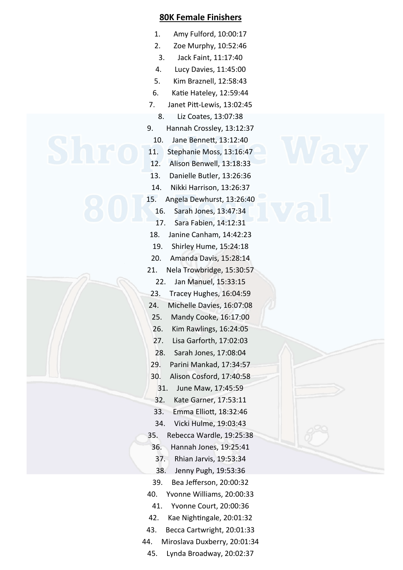## **80K Female Finishers**

- 1. Amy Fulford, 10:00:17
- 2. Zoe Murphy, 10:52:46
- 3. Jack Faint, 11:17:40
- 4. Lucy Davies, 11:45:00
- 5. Kim Braznell, 12:58:43
- 6. Katie Hateley, 12:59:44
- 7. Janet Pitt-Lewis, 13:02:45
	- 8. Liz Coates, 13:07:38
- 9. Hannah Crossley, 13:12:37
	- 10. Jane Bennett, 13:12:40
- 11. Stephanie Moss, 13:16:47
- 12. Alison Benwell, 13:18:33
- 13. Danielle Butler, 13:26:36
- 14. Nikki Harrison, 13:26:37
	- 15. Angela Dewhurst, 13:26:40
		- 16. Sarah Jones, 13:47:34
		- 17. Sara Fabien, 14:12:31
	- 18. Janine Canham, 14:42:23
	- 19. Shirley Hume, 15:24:18
	- 20. Amanda Davis, 15:28:14
	- 21. Nela Trowbridge, 15:30:57
		- 22. Jan Manuel, 15:33:15
	- 23. Tracey Hughes, 16:04:59
	- 24. Michelle Davies, 16:07:08
	- 25. Mandy Cooke, 16:17:00
	- 26. Kim Rawlings, 16:24:05
	- 27. Lisa Garforth, 17:02:03
	- 28. Sarah Jones, 17:08:04
	- 29. Parini Mankad, 17:34:57
	- 30. Alison Cosford, 17:40:58
		- 31. June Maw, 17:45:59
		- 32. Kate Garner, 17:53:11
	- 33. Emma Elliott, 18:32:46
	- 34. Vicki Hulme, 19:03:43
	- 35. Rebecca Wardle, 19:25:38
	- 36. Hannah Jones, 19:25:41
		- 37. Rhian Jarvis, 19:53:34
		- 38. Jenny Pugh, 19:53:36
	- 39. Bea Jefferson, 20:00:32
	- 40. Yvonne Williams, 20:00:33
		- 41. Yvonne Court, 20:00:36
	- 42. Kae Nightingale, 20:01:32
	- 43. Becca Cartwright, 20:01:33
	- 44. Miroslava Duxberry, 20:01:34
	- 45. Lynda Broadway, 20:02:37